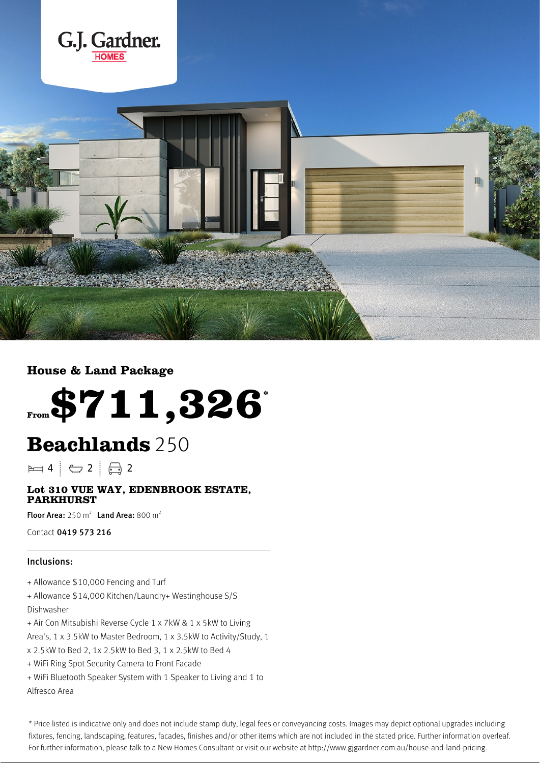



## **House & Land Package**



## **Beachlands**250

 $\blacktriangleright$  4  $\vdash$   $\ominus$  2  $\vdash$   $\ominus$  2

## **Lot 310 VUE WAY, EDENBROOK ESTATE, PARKHURST**

Floor Area:  $250 \text{ m}^2$  Land Area:  $800 \text{ m}^2$ 

Contact 0419 573 216

## Inclusions:

+ Allowance \$10,000 Fencing and Turf

+ Allowance \$14,000 Kitchen/Laundry+ Westinghouse S/S Dishwasher

- + Air Con Mitsubishi Reverse Cycle 1 x 7kW & 1 x 5kW to Living
- Area's, 1 x 3.5kW to Master Bedroom, 1 x 3.5kW to Activity/Study, 1
- x 2.5kW to Bed 2, 1x 2.5kW to Bed 3, 1 x 2.5kW to Bed 4
- + WiFi Ring Spot Security Camera to Front Facade
- + WiFi Bluetooth Speaker System with 1 Speaker to Living and 1 to Alfresco Area

\* Price listed is indicative only and does not include stamp duty, legal fees or conveyancing costs. Images may depict optional upgrades including fixtures, fencing, landscaping, features, facades, finishes and/or other items which are not included in the stated price. Further information overleaf. For further information, please talk to a New Homes Consultant or visit our website at http://www.gjgardner.com.au/house-and-land-pricing.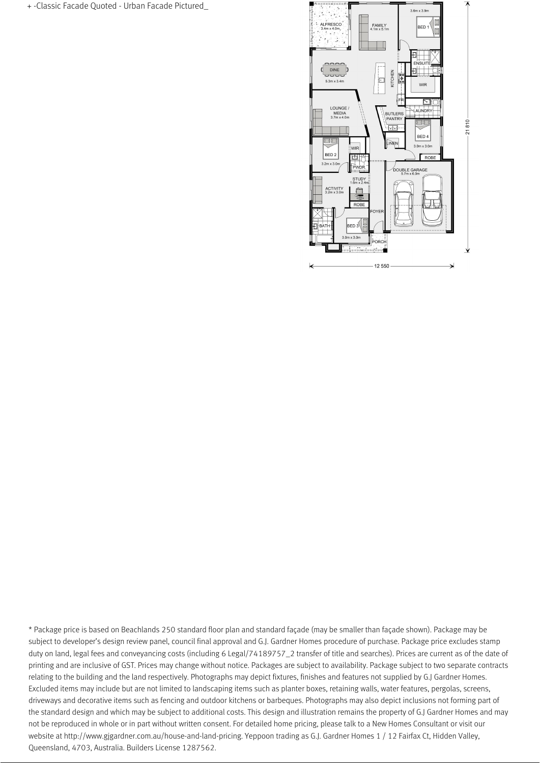+ -Classic Facade Quoted - Urban Facade Pictured\_



\* Package price is based on Beachlands 250 standard floor plan and standard façade (may be smaller than façade shown). Package may be subject to developer's design review panel, council final approval and G.J. Gardner Homes procedure of purchase. Package price excludes stamp duty on land, legal fees and conveyancing costs (including 6 Legal/74189757\_2 transfer of title and searches). Prices are current as of the date of printing and are inclusive of GST. Prices may change without notice. Packages are subject to availability. Package subject to two separate contracts relating to the building and the land respectively. Photographs may depict fixtures, finishes and features not supplied by G.J Gardner Homes. Excluded items may include but are not limited to landscaping items such as planter boxes, retaining walls, water features, pergolas, screens, driveways and decorative items such as fencing and outdoor kitchens or barbeques. Photographs may also depict inclusions not forming part of the standard design and which may be subject to additional costs. This design and illustration remains the property of G.J Gardner Homes and may not be reproduced in whole or in part without written consent. For detailed home pricing, please talk to a New Homes Consultant or visit our website at http://www.gjgardner.com.au/house-and-land-pricing. Yeppoon trading as G.J. Gardner Homes 1 / 12 Fairfax Ct, Hidden Valley, Queensland, 4703, Australia. Builders License 1287562.